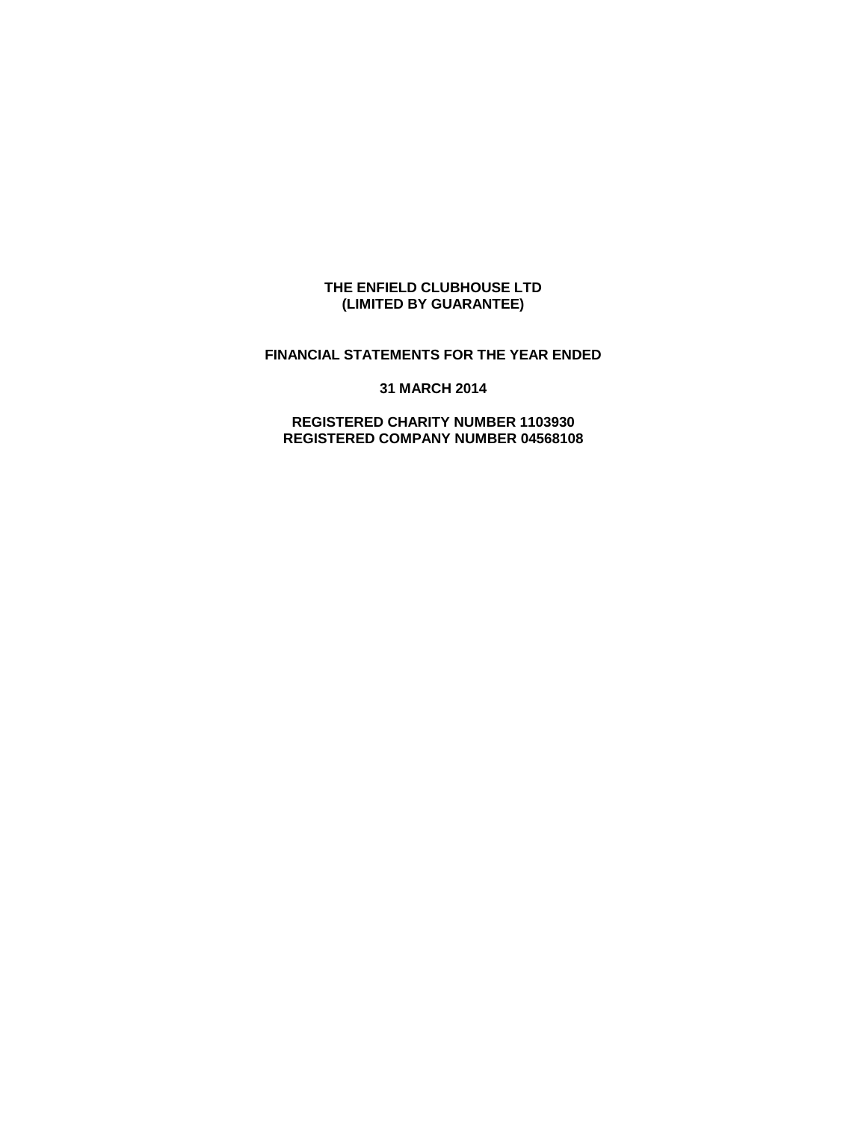#### **THE ENFIELD CLUBHOUSE LTD (LIMITED BY GUARANTEE)**

# **FINANCIAL STATEMENTS FOR THE YEAR ENDED**

**31 MARCH 2014**

**REGISTERED CHARITY NUMBER 1103930 REGISTERED COMPANY NUMBER 04568108**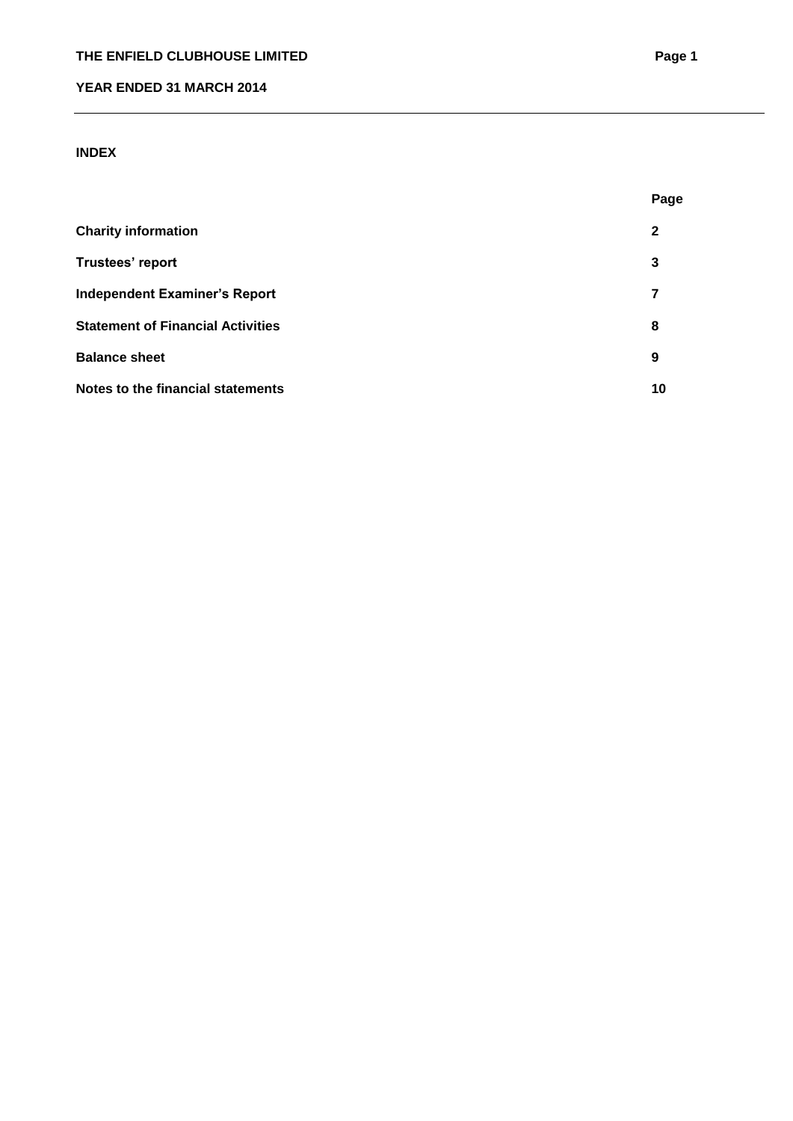# **INDEX**

|                                          | Page |
|------------------------------------------|------|
| <b>Charity information</b>               | 2    |
| Trustees' report                         | 3    |
| <b>Independent Examiner's Report</b>     | 7    |
| <b>Statement of Financial Activities</b> | 8    |
| <b>Balance sheet</b>                     | 9    |
| Notes to the financial statements        | 10   |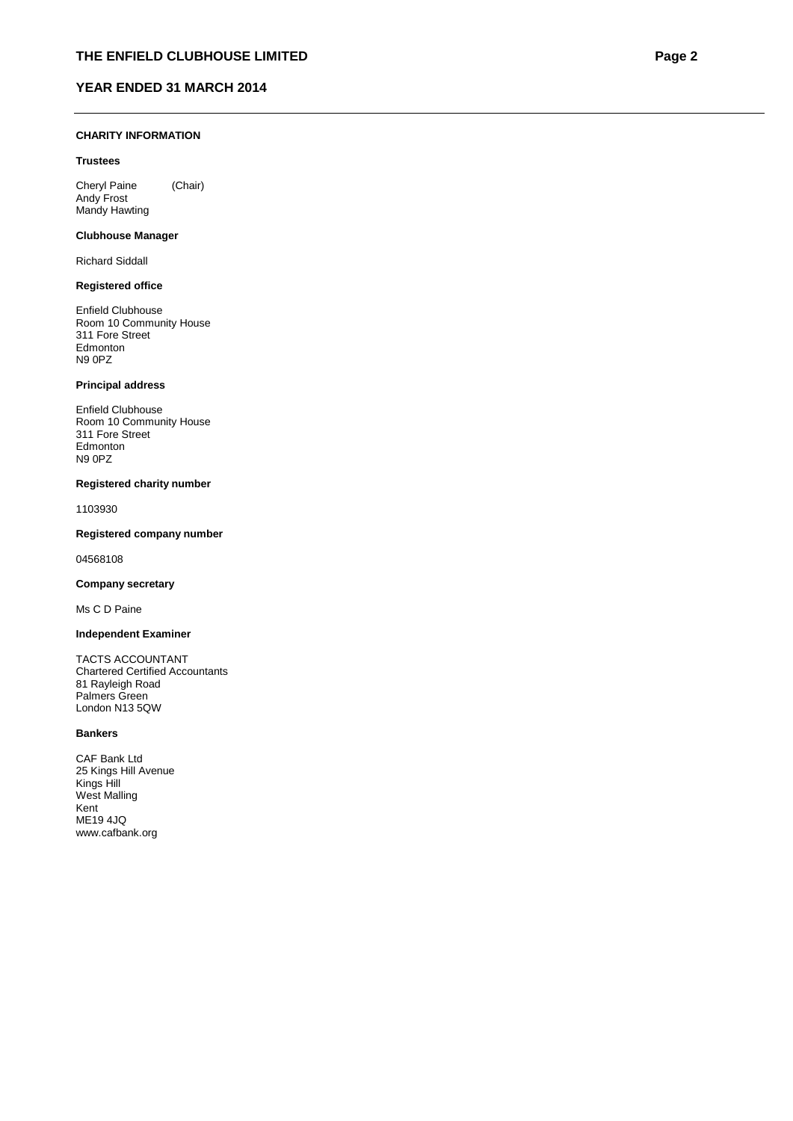#### **CHARITY INFORMATION**

#### **Trustees**

Cheryl Paine (Chair) Andy Frost Mandy Hawting

#### **Clubhouse Manager**

Richard Siddall

#### **Registered office**

Enfield Clubhouse Room 10 Community House 311 Fore Street Edmonton N9 0PZ

#### **Principal address**

Enfield Clubhouse Room 10 Community House 311 Fore Street **Edmonton** N9 0PZ

#### **Registered charity number**

1103930

#### **Registered company number**

04568108

#### **Company secretary**

Ms C D Paine

#### **Independent Examiner**

TACTS ACCOUNTANT Chartered Certified Accountants 81 Rayleigh Road Palmers Green London N13 5QW

#### **Bankers**

CAF Bank Ltd 25 Kings Hill Avenue Kings Hill West Malling Kent ME19 4JQ www.cafbank.org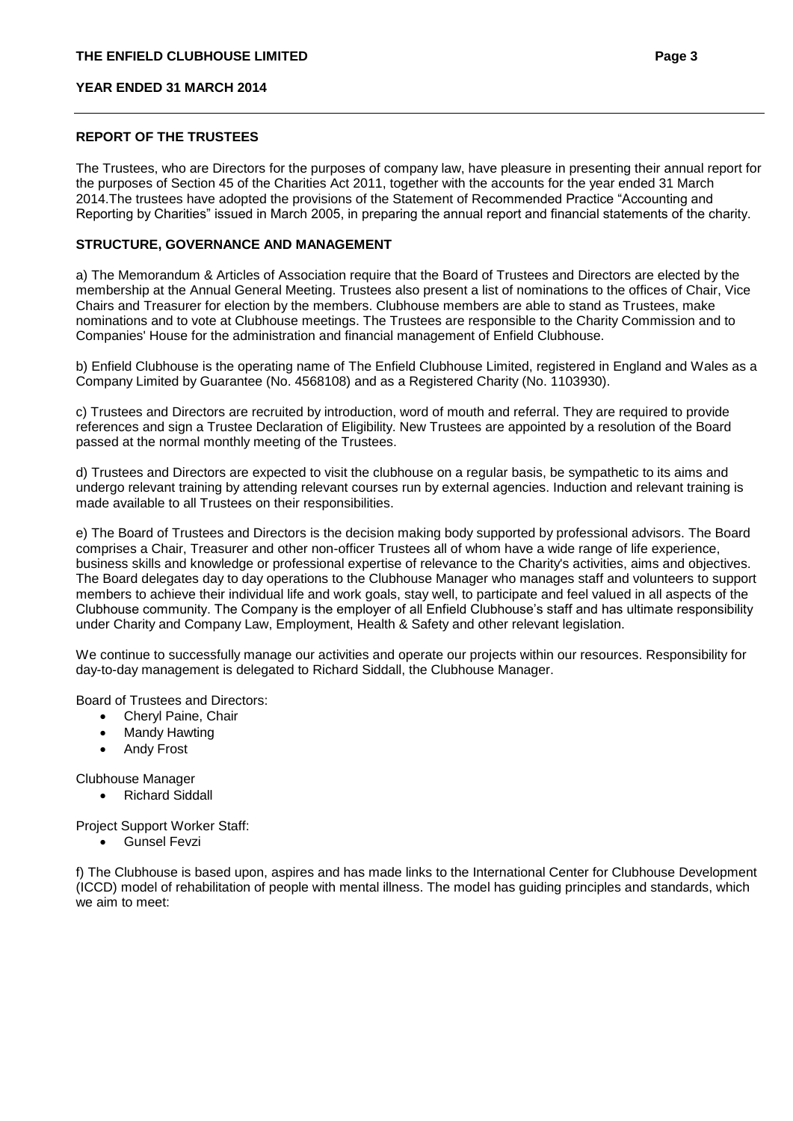#### **REPORT OF THE TRUSTEES**

The Trustees, who are Directors for the purposes of company law, have pleasure in presenting their annual report for the purposes of Section 45 of the Charities Act 2011, together with the accounts for the year ended 31 March 2014.The trustees have adopted the provisions of the Statement of Recommended Practice "Accounting and Reporting by Charities" issued in March 2005, in preparing the annual report and financial statements of the charity.

#### **STRUCTURE, GOVERNANCE AND MANAGEMENT**

a) The Memorandum & Articles of Association require that the Board of Trustees and Directors are elected by the membership at the Annual General Meeting. Trustees also present a list of nominations to the offices of Chair, Vice Chairs and Treasurer for election by the members. Clubhouse members are able to stand as Trustees, make nominations and to vote at Clubhouse meetings. The Trustees are responsible to the Charity Commission and to Companies' House for the administration and financial management of Enfield Clubhouse.

b) Enfield Clubhouse is the operating name of The Enfield Clubhouse Limited, registered in England and Wales as a Company Limited by Guarantee (No. 4568108) and as a Registered Charity (No. 1103930).

c) Trustees and Directors are recruited by introduction, word of mouth and referral. They are required to provide references and sign a Trustee Declaration of Eligibility. New Trustees are appointed by a resolution of the Board passed at the normal monthly meeting of the Trustees.

d) Trustees and Directors are expected to visit the clubhouse on a regular basis, be sympathetic to its aims and undergo relevant training by attending relevant courses run by external agencies. Induction and relevant training is made available to all Trustees on their responsibilities.

e) The Board of Trustees and Directors is the decision making body supported by professional advisors. The Board comprises a Chair, Treasurer and other non-officer Trustees all of whom have a wide range of life experience, business skills and knowledge or professional expertise of relevance to the Charity's activities, aims and objectives. The Board delegates day to day operations to the Clubhouse Manager who manages staff and volunteers to support members to achieve their individual life and work goals, stay well, to participate and feel valued in all aspects of the Clubhouse community. The Company is the employer of all Enfield Clubhouse's staff and has ultimate responsibility under Charity and Company Law, Employment, Health & Safety and other relevant legislation.

We continue to successfully manage our activities and operate our projects within our resources. Responsibility for day-to-day management is delegated to Richard Siddall, the Clubhouse Manager.

Board of Trustees and Directors:

- Cheryl Paine, Chair
- Mandy Hawting
- Andy Frost

Clubhouse Manager

• Richard Siddall

Project Support Worker Staff:

Gunsel Fevzi

f) The Clubhouse is based upon, aspires and has made links to the International Center for Clubhouse Development (ICCD) model of rehabilitation of people with mental illness. The model has guiding principles and standards, which we aim to meet: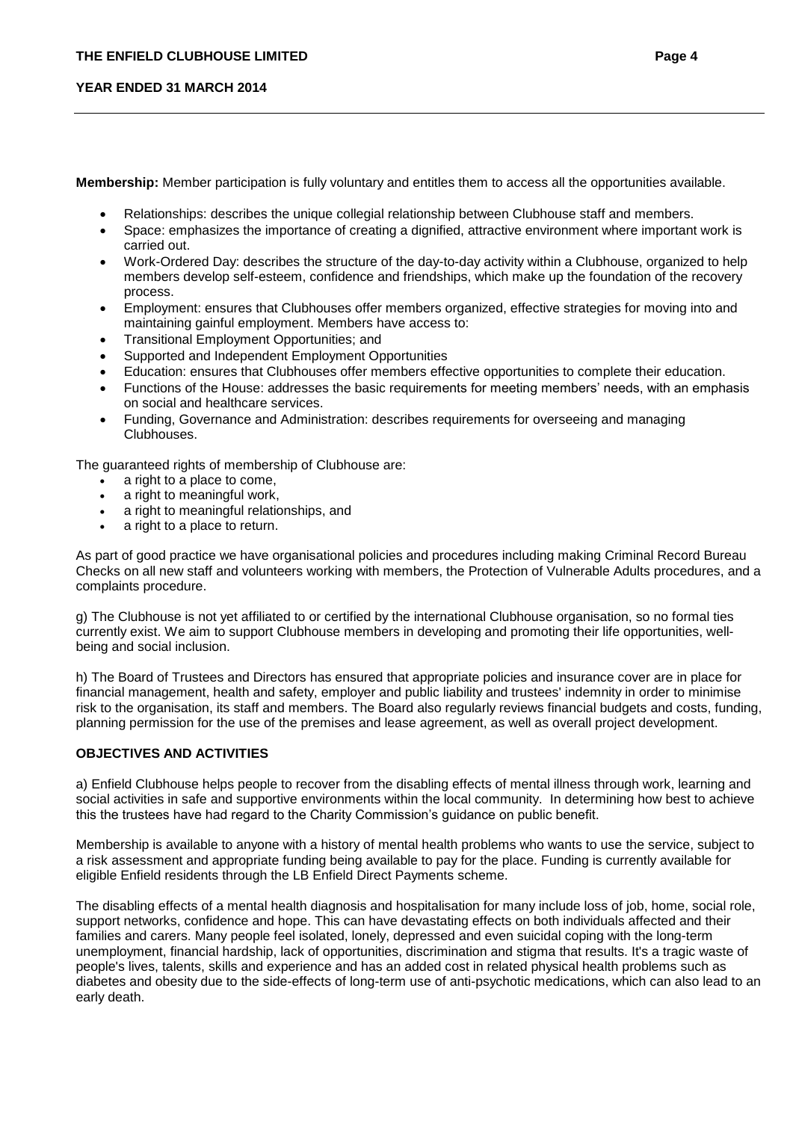**Membership:** Member participation is fully voluntary and entitles them to access all the opportunities available.

- Relationships: describes the unique collegial relationship between Clubhouse staff and members.
- Space: emphasizes the importance of creating a dignified, attractive environment where important work is carried out.
- Work-Ordered Day: describes the structure of the day-to-day activity within a Clubhouse, organized to help members develop self-esteem, confidence and friendships, which make up the foundation of the recovery process.
- Employment: ensures that Clubhouses offer members organized, effective strategies for moving into and maintaining gainful employment. Members have access to:
- Transitional Employment Opportunities; and
- Supported and Independent Employment Opportunities
- Education: ensures that Clubhouses offer members effective opportunities to complete their education.
- Functions of the House: addresses the basic requirements for meeting members' needs, with an emphasis on social and healthcare services.
- Funding, Governance and Administration: describes requirements for overseeing and managing Clubhouses.

The guaranteed rights of membership of Clubhouse are:

- a right to a place to come,
- a right to meaningful work,
- a right to meaningful relationships, and
- a right to a place to return.

As part of good practice we have organisational policies and procedures including making Criminal Record Bureau Checks on all new staff and volunteers working with members, the Protection of Vulnerable Adults procedures, and a complaints procedure.

g) The Clubhouse is not yet affiliated to or certified by the international Clubhouse organisation, so no formal ties currently exist. We aim to support Clubhouse members in developing and promoting their life opportunities, wellbeing and social inclusion.

h) The Board of Trustees and Directors has ensured that appropriate policies and insurance cover are in place for financial management, health and safety, employer and public liability and trustees' indemnity in order to minimise risk to the organisation, its staff and members. The Board also regularly reviews financial budgets and costs, funding, planning permission for the use of the premises and lease agreement, as well as overall project development.

## **OBJECTIVES AND ACTIVITIES**

a) Enfield Clubhouse helps people to recover from the disabling effects of mental illness through work, learning and social activities in safe and supportive environments within the local community. In determining how best to achieve this the trustees have had regard to the Charity Commission's guidance on public benefit.

Membership is available to anyone with a history of mental health problems who wants to use the service, subject to a risk assessment and appropriate funding being available to pay for the place. Funding is currently available for eligible Enfield residents through the LB Enfield Direct Payments scheme.

The disabling effects of a mental health diagnosis and hospitalisation for many include loss of job, home, social role, support networks, confidence and hope. This can have devastating effects on both individuals affected and their families and carers. Many people feel isolated, lonely, depressed and even suicidal coping with the long-term unemployment, financial hardship, lack of opportunities, discrimination and stigma that results. It's a tragic waste of people's lives, talents, skills and experience and has an added cost in related physical health problems such as diabetes and obesity due to the side-effects of long-term use of anti-psychotic medications, which can also lead to an early death.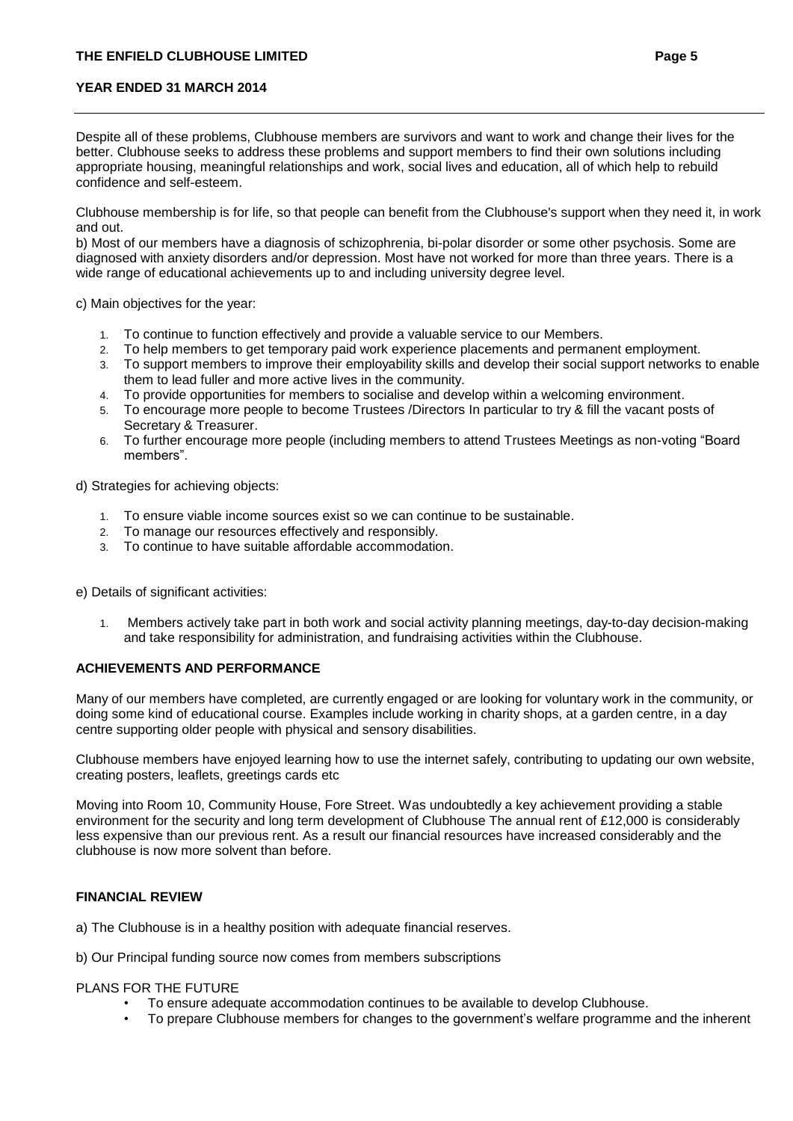Despite all of these problems, Clubhouse members are survivors and want to work and change their lives for the better. Clubhouse seeks to address these problems and support members to find their own solutions including appropriate housing, meaningful relationships and work, social lives and education, all of which help to rebuild confidence and self-esteem.

Clubhouse membership is for life, so that people can benefit from the Clubhouse's support when they need it, in work and out.

b) Most of our members have a diagnosis of schizophrenia, bi-polar disorder or some other psychosis. Some are diagnosed with anxiety disorders and/or depression. Most have not worked for more than three years. There is a wide range of educational achievements up to and including university degree level.

c) Main objectives for the year:

- 1. To continue to function effectively and provide a valuable service to our Members.
- 2. To help members to get temporary paid work experience placements and permanent employment.
- 3. To support members to improve their employability skills and develop their social support networks to enable them to lead fuller and more active lives in the community.
- 4. To provide opportunities for members to socialise and develop within a welcoming environment.
- 5. To encourage more people to become Trustees /Directors In particular to try & fill the vacant posts of Secretary & Treasurer.
- 6. To further encourage more people (including members to attend Trustees Meetings as non-voting "Board members".

d) Strategies for achieving objects:

- 1. To ensure viable income sources exist so we can continue to be sustainable.
- 2. To manage our resources effectively and responsibly.
- 3. To continue to have suitable affordable accommodation.

e) Details of significant activities:

1. Members actively take part in both work and social activity planning meetings, day-to-day decision-making and take responsibility for administration, and fundraising activities within the Clubhouse.

#### **ACHIEVEMENTS AND PERFORMANCE**

Many of our members have completed, are currently engaged or are looking for voluntary work in the community, or doing some kind of educational course. Examples include working in charity shops, at a garden centre, in a day centre supporting older people with physical and sensory disabilities.

Clubhouse members have enjoyed learning how to use the internet safely, contributing to updating our own website, creating posters, leaflets, greetings cards etc

Moving into Room 10, Community House, Fore Street. Was undoubtedly a key achievement providing a stable environment for the security and long term development of Clubhouse The annual rent of £12,000 is considerably less expensive than our previous rent. As a result our financial resources have increased considerably and the clubhouse is now more solvent than before.

#### **FINANCIAL REVIEW**

a) The Clubhouse is in a healthy position with adequate financial reserves.

b) Our Principal funding source now comes from members subscriptions

#### PLANS FOR THE FUTURE

- To ensure adequate accommodation continues to be available to develop Clubhouse.
- To prepare Clubhouse members for changes to the government's welfare programme and the inherent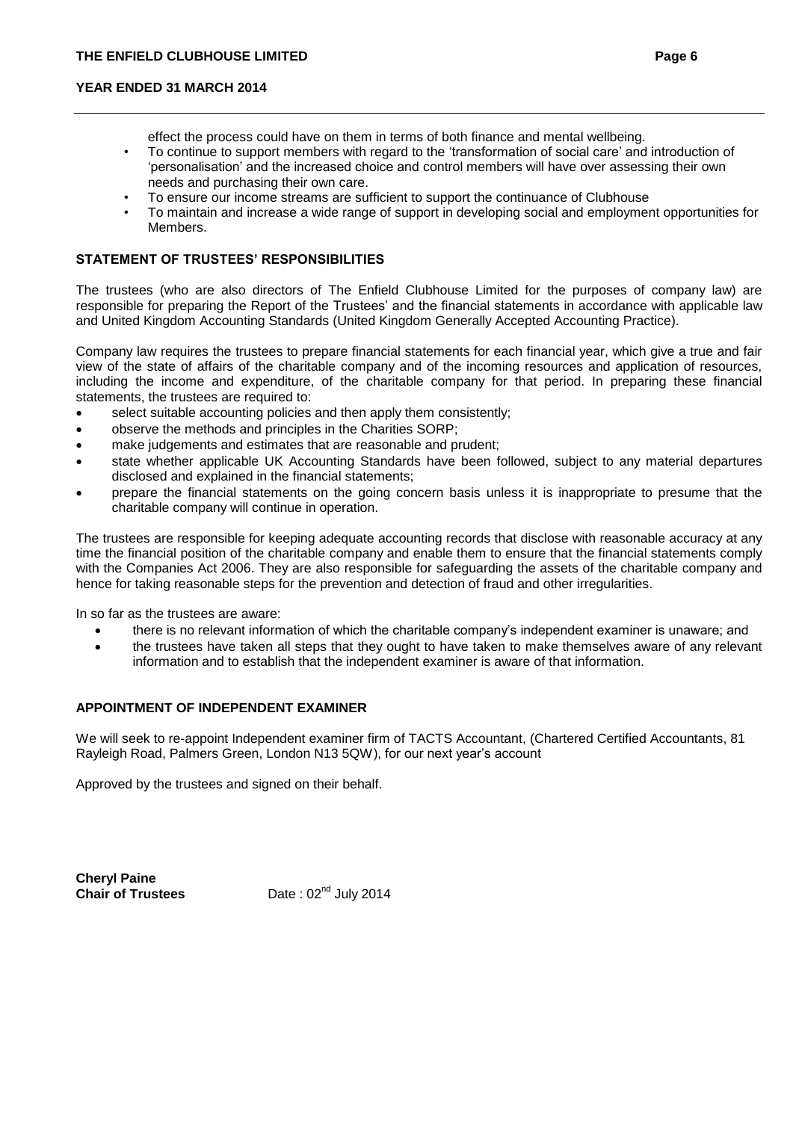- effect the process could have on them in terms of both finance and mental wellbeing.
- To continue to support members with regard to the 'transformation of social care' and introduction of 'personalisation' and the increased choice and control members will have over assessing their own needs and purchasing their own care.
- To ensure our income streams are sufficient to support the continuance of Clubhouse
- To maintain and increase a wide range of support in developing social and employment opportunities for Members.

# **STATEMENT OF TRUSTEES' RESPONSIBILITIES**

The trustees (who are also directors of The Enfield Clubhouse Limited for the purposes of company law) are responsible for preparing the Report of the Trustees' and the financial statements in accordance with applicable law and United Kingdom Accounting Standards (United Kingdom Generally Accepted Accounting Practice).

Company law requires the trustees to prepare financial statements for each financial year, which give a true and fair view of the state of affairs of the charitable company and of the incoming resources and application of resources, including the income and expenditure, of the charitable company for that period. In preparing these financial statements, the trustees are required to:

- select suitable accounting policies and then apply them consistently;
- observe the methods and principles in the Charities SORP;
- make judgements and estimates that are reasonable and prudent;
- state whether applicable UK Accounting Standards have been followed, subject to any material departures disclosed and explained in the financial statements;
- prepare the financial statements on the going concern basis unless it is inappropriate to presume that the charitable company will continue in operation.

The trustees are responsible for keeping adequate accounting records that disclose with reasonable accuracy at any time the financial position of the charitable company and enable them to ensure that the financial statements comply with the Companies Act 2006. They are also responsible for safeguarding the assets of the charitable company and hence for taking reasonable steps for the prevention and detection of fraud and other irregularities.

In so far as the trustees are aware:

- there is no relevant information of which the charitable company's independent examiner is unaware; and
- the trustees have taken all steps that they ought to have taken to make themselves aware of any relevant information and to establish that the independent examiner is aware of that information.

## **APPOINTMENT OF INDEPENDENT EXAMINER**

We will seek to re-appoint Independent examiner firm of TACTS Accountant, (Chartered Certified Accountants, 81 Rayleigh Road, Palmers Green, London N13 5QW), for our next year's account

Approved by the trustees and signed on their behalf.

**Cheryl Paine**

**Chair of Trustees** Date : 02<sup>nd</sup> July 2014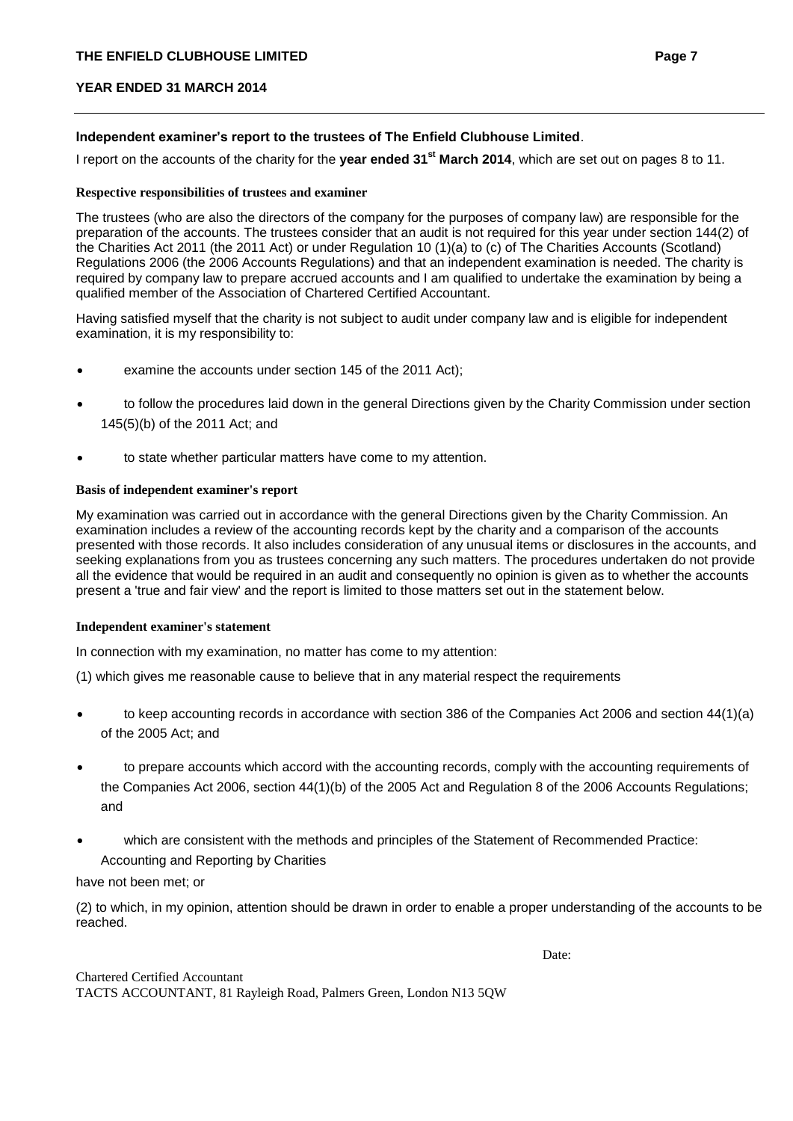#### **Independent examiner's report to the trustees of The Enfield Clubhouse Limited**.

I report on the accounts of the charity for the **year ended 31st March 2014**, which are set out on pages 8 to 11.

#### **Respective responsibilities of trustees and examiner**

The trustees (who are also the directors of the company for the purposes of company law) are responsible for the preparation of the accounts. The trustees consider that an audit is not required for this year under section 144(2) of the Charities Act 2011 (the 2011 Act) or under Regulation 10 (1)(a) to (c) of The Charities Accounts (Scotland) Regulations 2006 (the 2006 Accounts Regulations) and that an independent examination is needed. The charity is required by company law to prepare accrued accounts and I am qualified to undertake the examination by being a qualified member of the Association of Chartered Certified Accountant.

Having satisfied myself that the charity is not subject to audit under company law and is eligible for independent examination, it is my responsibility to:

- examine the accounts under section 145 of the 2011 Act);
- to follow the procedures laid down in the general Directions given by the Charity Commission under section 145(5)(b) of the 2011 Act; and
- to state whether particular matters have come to my attention.

#### **Basis of independent examiner's report**

My examination was carried out in accordance with the general Directions given by the Charity Commission. An examination includes a review of the accounting records kept by the charity and a comparison of the accounts presented with those records. It also includes consideration of any unusual items or disclosures in the accounts, and seeking explanations from you as trustees concerning any such matters. The procedures undertaken do not provide all the evidence that would be required in an audit and consequently no opinion is given as to whether the accounts present a 'true and fair view' and the report is limited to those matters set out in the statement below.

#### **Independent examiner's statement**

In connection with my examination, no matter has come to my attention:

(1) which gives me reasonable cause to believe that in any material respect the requirements

- to keep accounting records in accordance with section 386 of the Companies Act 2006 and section 44(1)(a) of the 2005 Act; and
- to prepare accounts which accord with the accounting records, comply with the accounting requirements of the Companies Act 2006, section 44(1)(b) of the 2005 Act and Regulation 8 of the 2006 Accounts Regulations; and
- which are consistent with the methods and principles of the Statement of Recommended Practice: Accounting and Reporting by Charities

#### have not been met; or

(2) to which, in my opinion, attention should be drawn in order to enable a proper understanding of the accounts to be reached.

Date: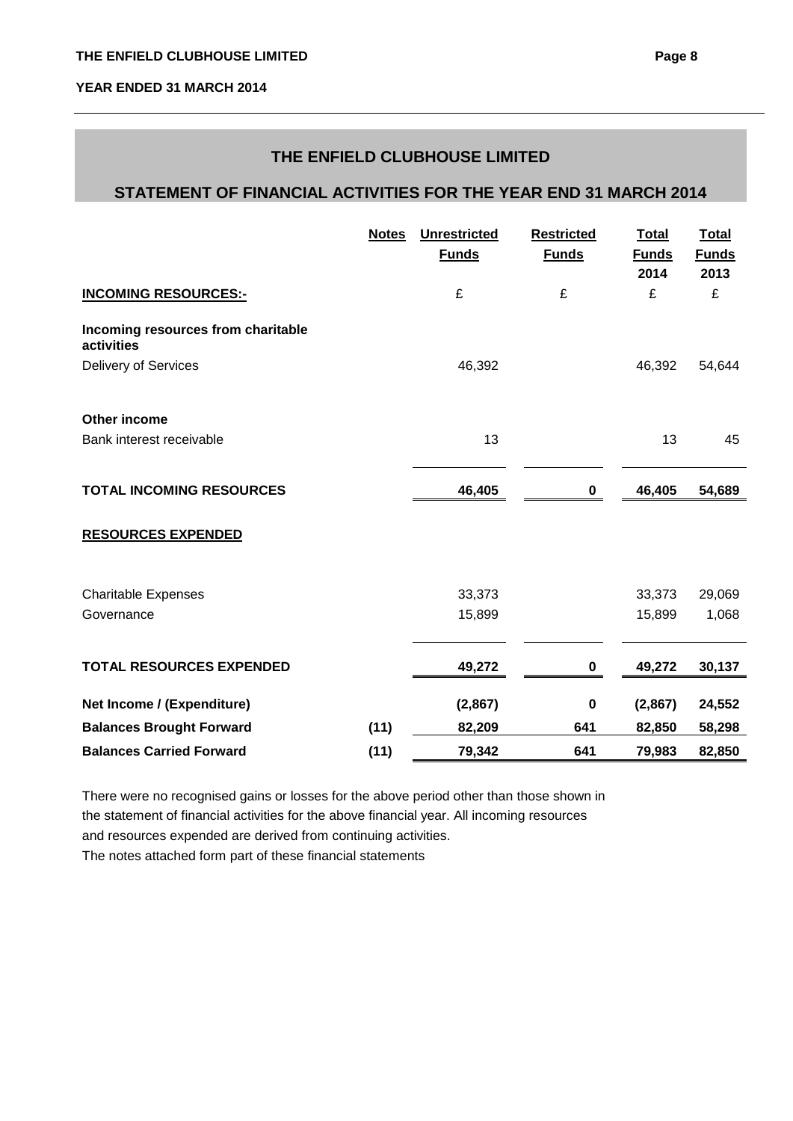# **THE ENFIELD CLUBHOUSE LIMITED**

# **STATEMENT OF FINANCIAL ACTIVITIES FOR THE YEAR END 31 MARCH 2014**

|                                                  | <b>Notes</b> | <b>Unrestricted</b><br><b>Funds</b> | <b>Restricted</b><br><b>Funds</b> | <b>Total</b><br><b>Funds</b><br>2014 | <b>Total</b><br><b>Funds</b><br>2013 |
|--------------------------------------------------|--------------|-------------------------------------|-----------------------------------|--------------------------------------|--------------------------------------|
| <b>INCOMING RESOURCES:-</b>                      |              | £                                   | £                                 | £                                    | £                                    |
| Incoming resources from charitable<br>activities |              |                                     |                                   |                                      |                                      |
| Delivery of Services                             |              | 46,392                              |                                   | 46,392                               | 54,644                               |
| Other income                                     |              |                                     |                                   |                                      |                                      |
| Bank interest receivable                         |              | 13                                  |                                   | 13                                   | 45                                   |
| <b>TOTAL INCOMING RESOURCES</b>                  |              | 46,405                              | $\mathbf 0$                       | 46,405                               | 54,689                               |
| <b>RESOURCES EXPENDED</b>                        |              |                                     |                                   |                                      |                                      |
| <b>Charitable Expenses</b>                       |              | 33,373                              |                                   | 33,373                               | 29,069                               |
| Governance                                       |              | 15,899                              |                                   | 15,899                               | 1,068                                |
| <b>TOTAL RESOURCES EXPENDED</b>                  |              | 49,272                              | $\pmb{0}$                         | 49,272                               | 30,137                               |
| Net Income / (Expenditure)                       |              | (2,867)                             | $\pmb{0}$                         | (2,867)                              | 24,552                               |
| <b>Balances Brought Forward</b>                  | (11)         | 82,209                              | 641                               | 82,850                               | 58,298                               |
| <b>Balances Carried Forward</b>                  | (11)         | 79,342                              | 641                               | 79,983                               | 82,850                               |

There were no recognised gains or losses for the above period other than those shown in the statement of financial activities for the above financial year. All incoming resources and resources expended are derived from continuing activities. The notes attached form part of these financial statements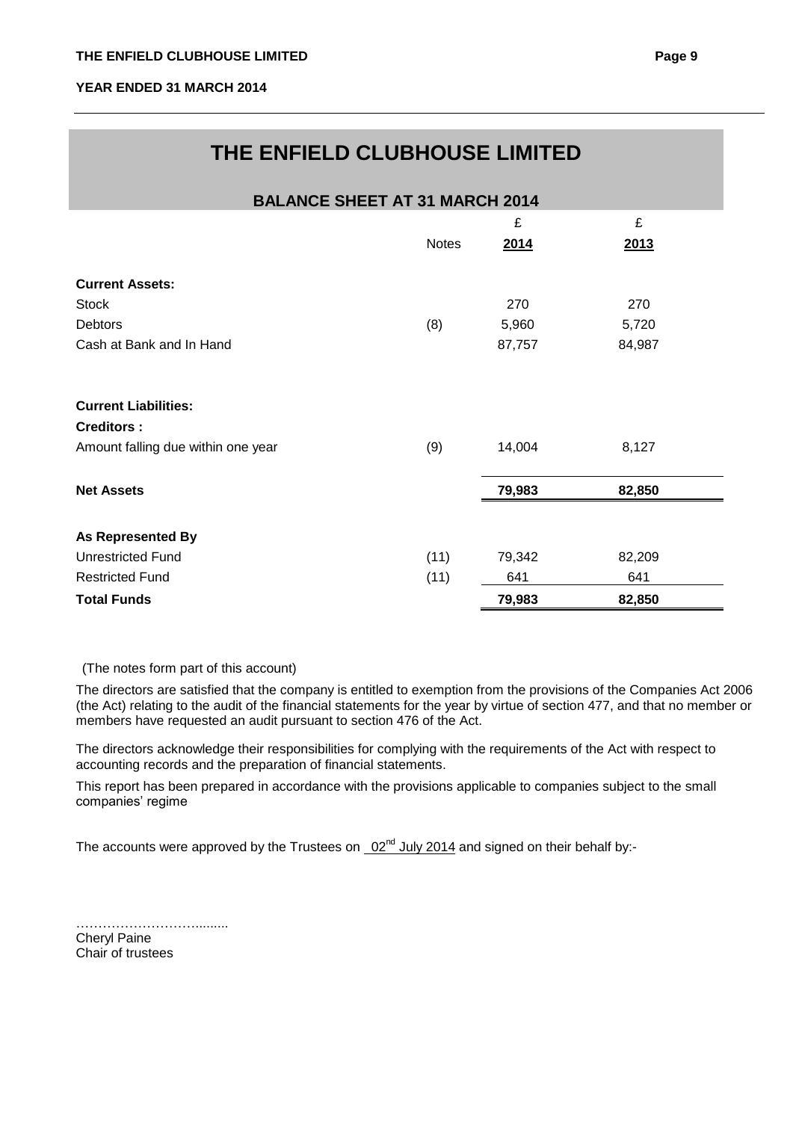# **THE ENFIELD CLUBHOUSE LIMITED**

| <b>BALANCE SHEET AT 31 MARCH 2014</b>            |              |        |        |  |
|--------------------------------------------------|--------------|--------|--------|--|
|                                                  |              | £      | £      |  |
|                                                  | <b>Notes</b> | 2014   | 2013   |  |
| <b>Current Assets:</b>                           |              |        |        |  |
| <b>Stock</b>                                     |              | 270    | 270    |  |
| Debtors                                          | (8)          | 5,960  | 5,720  |  |
| Cash at Bank and In Hand                         |              | 87,757 | 84,987 |  |
| <b>Current Liabilities:</b><br><b>Creditors:</b> |              |        |        |  |
| Amount falling due within one year               | (9)          | 14,004 | 8,127  |  |
| <b>Net Assets</b>                                |              | 79,983 | 82,850 |  |
| <b>As Represented By</b>                         |              |        |        |  |
| <b>Unrestricted Fund</b>                         | (11)         | 79,342 | 82,209 |  |
| <b>Restricted Fund</b>                           | (11)         | 641    | 641    |  |
| <b>Total Funds</b>                               |              | 79,983 | 82,850 |  |

(The notes form part of this account)

The directors are satisfied that the company is entitled to exemption from the provisions of the Companies Act 2006 (the Act) relating to the audit of the financial statements for the year by virtue of section 477, and that no member or members have requested an audit pursuant to section 476 of the Act.

The directors acknowledge their responsibilities for complying with the requirements of the Act with respect to accounting records and the preparation of financial statements.

This report has been prepared in accordance with the provisions applicable to companies subject to the small companies' regime

The accounts were approved by the Trustees on  $02^{nd}$  July 2014 and signed on their behalf by:-

……………………….........

Cheryl Paine Chair of trustees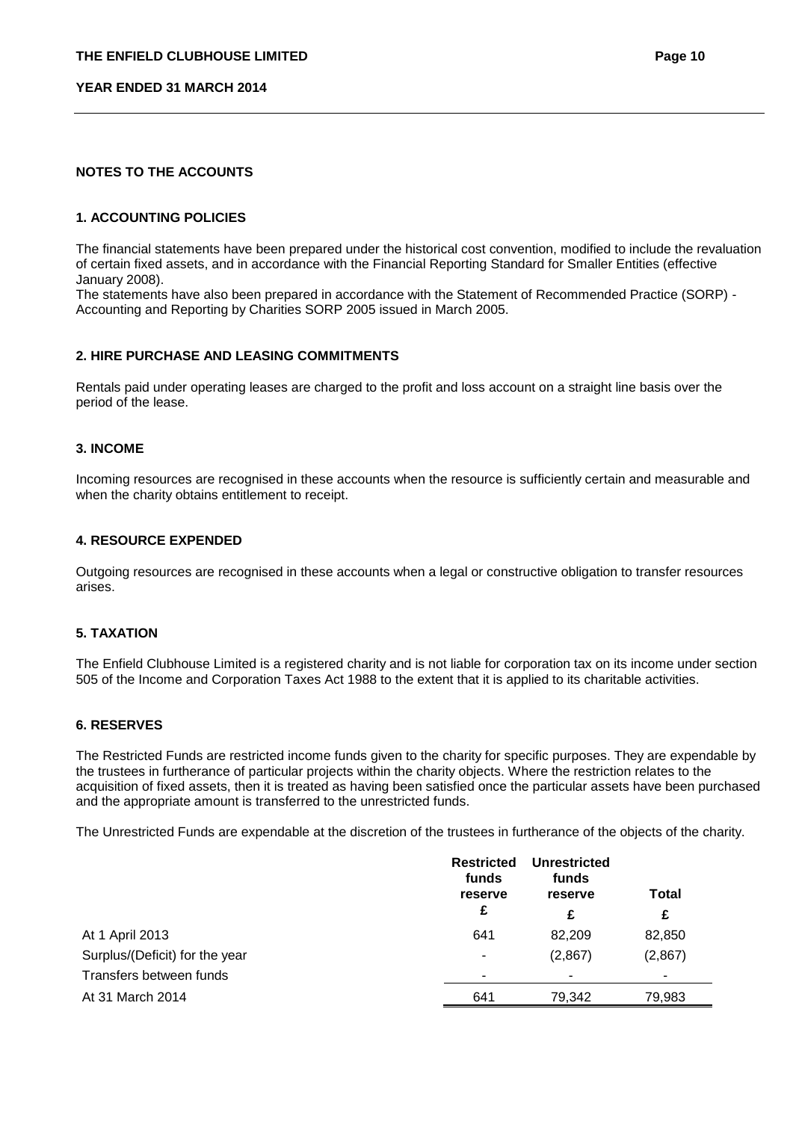## **NOTES TO THE ACCOUNTS**

#### **1. ACCOUNTING POLICIES**

The financial statements have been prepared under the historical cost convention, modified to include the revaluation of certain fixed assets, and in accordance with the Financial Reporting Standard for Smaller Entities (effective January 2008).

The statements have also been prepared in accordance with the Statement of Recommended Practice (SORP) - Accounting and Reporting by Charities SORP 2005 issued in March 2005.

#### **2. HIRE PURCHASE AND LEASING COMMITMENTS**

Rentals paid under operating leases are charged to the profit and loss account on a straight line basis over the period of the lease.

#### **3. INCOME**

Incoming resources are recognised in these accounts when the resource is sufficiently certain and measurable and when the charity obtains entitlement to receipt.

#### **4. RESOURCE EXPENDED**

Outgoing resources are recognised in these accounts when a legal or constructive obligation to transfer resources arises.

#### **5. TAXATION**

The Enfield Clubhouse Limited is a registered charity and is not liable for corporation tax on its income under section 505 of the Income and Corporation Taxes Act 1988 to the extent that it is applied to its charitable activities.

#### **6. RESERVES**

The Restricted Funds are restricted income funds given to the charity for specific purposes. They are expendable by the trustees in furtherance of particular projects within the charity objects. Where the restriction relates to the acquisition of fixed assets, then it is treated as having been satisfied once the particular assets have been purchased and the appropriate amount is transferred to the unrestricted funds.

The Unrestricted Funds are expendable at the discretion of the trustees in furtherance of the objects of the charity.

|                                | <b>Restricted</b><br>funds<br>reserve<br>£ | <b>Unrestricted</b><br>funds<br>reserve | <b>Total</b> |
|--------------------------------|--------------------------------------------|-----------------------------------------|--------------|
|                                |                                            | £                                       | £            |
| At 1 April 2013                | 641                                        | 82.209                                  | 82,850       |
| Surplus/(Deficit) for the year | ۰                                          | (2,867)                                 | (2,867)      |
| Transfers between funds        | ۰                                          | -                                       |              |
| At 31 March 2014               | 641                                        | 79,342                                  | 79,983       |